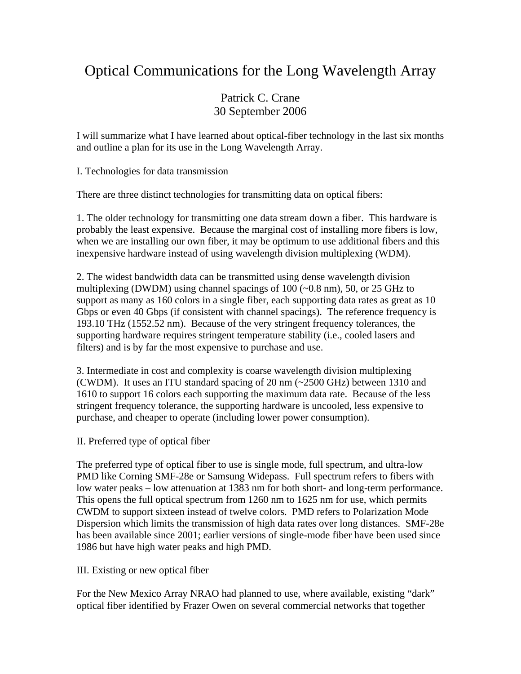## Optical Communications for the Long Wavelength Array

## Patrick C. Crane 30 September 2006

I will summarize what I have learned about optical-fiber technology in the last six months and outline a plan for its use in the Long Wavelength Array.

I. Technologies for data transmission

There are three distinct technologies for transmitting data on optical fibers:

1. The older technology for transmitting one data stream down a fiber. This hardware is probably the least expensive. Because the marginal cost of installing more fibers is low, when we are installing our own fiber, it may be optimum to use additional fibers and this inexpensive hardware instead of using wavelength division multiplexing (WDM).

2. The widest bandwidth data can be transmitted using dense wavelength division multiplexing (DWDM) using channel spacings of 100 (~0.8 nm), 50, or 25 GHz to support as many as 160 colors in a single fiber, each supporting data rates as great as 10 Gbps or even 40 Gbps (if consistent with channel spacings). The reference frequency is 193.10 THz (1552.52 nm). Because of the very stringent frequency tolerances, the supporting hardware requires stringent temperature stability (i.e., cooled lasers and filters) and is by far the most expensive to purchase and use.

3. Intermediate in cost and complexity is coarse wavelength division multiplexing (CWDM). It uses an ITU standard spacing of 20 nm (~2500 GHz) between 1310 and 1610 to support 16 colors each supporting the maximum data rate. Because of the less stringent frequency tolerance, the supporting hardware is uncooled, less expensive to purchase, and cheaper to operate (including lower power consumption).

II. Preferred type of optical fiber

The preferred type of optical fiber to use is single mode, full spectrum, and ultra-low PMD like Corning SMF-28e or Samsung Widepass. Full spectrum refers to fibers with low water peaks – low attenuation at 1383 nm for both short- and long-term performance. This opens the full optical spectrum from 1260 nm to 1625 nm for use, which permits CWDM to support sixteen instead of twelve colors. PMD refers to Polarization Mode Dispersion which limits the transmission of high data rates over long distances. SMF-28e has been available since 2001; earlier versions of single-mode fiber have been used since 1986 but have high water peaks and high PMD.

III. Existing or new optical fiber

For the New Mexico Array NRAO had planned to use, where available, existing "dark" optical fiber identified by Frazer Owen on several commercial networks that together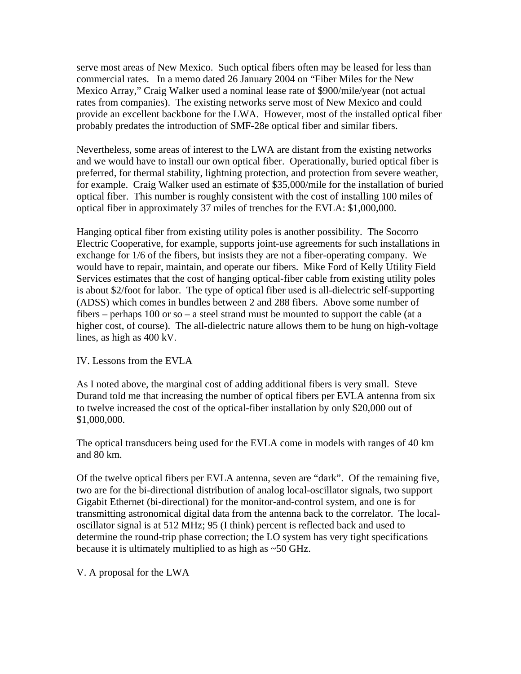serve most areas of New Mexico. Such optical fibers often may be leased for less than commercial rates. In a memo dated 26 January 2004 on "Fiber Miles for the New Mexico Array," Craig Walker used a nominal lease rate of \$900/mile/year (not actual rates from companies). The existing networks serve most of New Mexico and could provide an excellent backbone for the LWA. However, most of the installed optical fiber probably predates the introduction of SMF-28e optical fiber and similar fibers.

Nevertheless, some areas of interest to the LWA are distant from the existing networks and we would have to install our own optical fiber. Operationally, buried optical fiber is preferred, for thermal stability, lightning protection, and protection from severe weather, for example. Craig Walker used an estimate of \$35,000/mile for the installation of buried optical fiber. This number is roughly consistent with the cost of installing 100 miles of optical fiber in approximately 37 miles of trenches for the EVLA: \$1,000,000.

Hanging optical fiber from existing utility poles is another possibility. The Socorro Electric Cooperative, for example, supports joint-use agreements for such installations in exchange for 1/6 of the fibers, but insists they are not a fiber-operating company. We would have to repair, maintain, and operate our fibers. Mike Ford of Kelly Utility Field Services estimates that the cost of hanging optical-fiber cable from existing utility poles is about \$2/foot for labor. The type of optical fiber used is all-dielectric self-supporting (ADSS) which comes in bundles between 2 and 288 fibers. Above some number of fibers – perhaps 100 or so – a steel strand must be mounted to support the cable (at a higher cost, of course). The all-dielectric nature allows them to be hung on high-voltage lines, as high as 400 kV.

IV. Lessons from the EVLA

As I noted above, the marginal cost of adding additional fibers is very small. Steve Durand told me that increasing the number of optical fibers per EVLA antenna from six to twelve increased the cost of the optical-fiber installation by only \$20,000 out of \$1,000,000.

The optical transducers being used for the EVLA come in models with ranges of 40 km and 80 km.

Of the twelve optical fibers per EVLA antenna, seven are "dark". Of the remaining five, two are for the bi-directional distribution of analog local-oscillator signals, two support Gigabit Ethernet (bi-directional) for the monitor-and-control system, and one is for transmitting astronomical digital data from the antenna back to the correlator. The localoscillator signal is at 512 MHz; 95 (I think) percent is reflected back and used to determine the round-trip phase correction; the LO system has very tight specifications because it is ultimately multiplied to as high as ~50 GHz.

V. A proposal for the LWA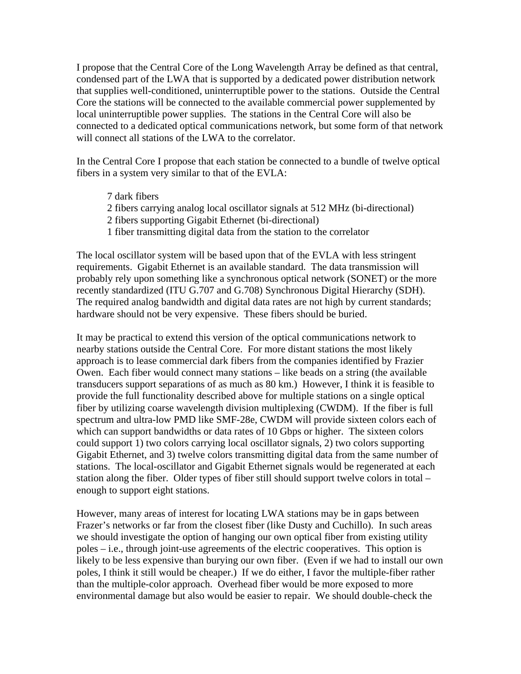I propose that the Central Core of the Long Wavelength Array be defined as that central, condensed part of the LWA that is supported by a dedicated power distribution network that supplies well-conditioned, uninterruptible power to the stations. Outside the Central Core the stations will be connected to the available commercial power supplemented by local uninterruptible power supplies. The stations in the Central Core will also be connected to a dedicated optical communications network, but some form of that network will connect all stations of the LWA to the correlator.

In the Central Core I propose that each station be connected to a bundle of twelve optical fibers in a system very similar to that of the EVLA:

- 7 dark fibers
- 2 fibers carrying analog local oscillator signals at 512 MHz (bi-directional)
- 2 fibers supporting Gigabit Ethernet (bi-directional)
- 1 fiber transmitting digital data from the station to the correlator

The local oscillator system will be based upon that of the EVLA with less stringent requirements. Gigabit Ethernet is an available standard. The data transmission will probably rely upon something like a synchronous optical network (SONET) or the more recently standardized (ITU G.707 and G.708) Synchronous Digital Hierarchy (SDH). The required analog bandwidth and digital data rates are not high by current standards; hardware should not be very expensive. These fibers should be buried.

It may be practical to extend this version of the optical communications network to nearby stations outside the Central Core. For more distant stations the most likely approach is to lease commercial dark fibers from the companies identified by Frazier Owen. Each fiber would connect many stations – like beads on a string (the available transducers support separations of as much as 80 km.) However, I think it is feasible to provide the full functionality described above for multiple stations on a single optical fiber by utilizing coarse wavelength division multiplexing (CWDM). If the fiber is full spectrum and ultra-low PMD like SMF-28e, CWDM will provide sixteen colors each of which can support bandwidths or data rates of 10 Gbps or higher. The sixteen colors could support 1) two colors carrying local oscillator signals, 2) two colors supporting Gigabit Ethernet, and 3) twelve colors transmitting digital data from the same number of stations. The local-oscillator and Gigabit Ethernet signals would be regenerated at each station along the fiber. Older types of fiber still should support twelve colors in total – enough to support eight stations.

However, many areas of interest for locating LWA stations may be in gaps between Frazer's networks or far from the closest fiber (like Dusty and Cuchillo). In such areas we should investigate the option of hanging our own optical fiber from existing utility poles – i.e., through joint-use agreements of the electric cooperatives. This option is likely to be less expensive than burying our own fiber. (Even if we had to install our own poles, I think it still would be cheaper.) If we do either, I favor the multiple-fiber rather than the multiple-color approach. Overhead fiber would be more exposed to more environmental damage but also would be easier to repair. We should double-check the